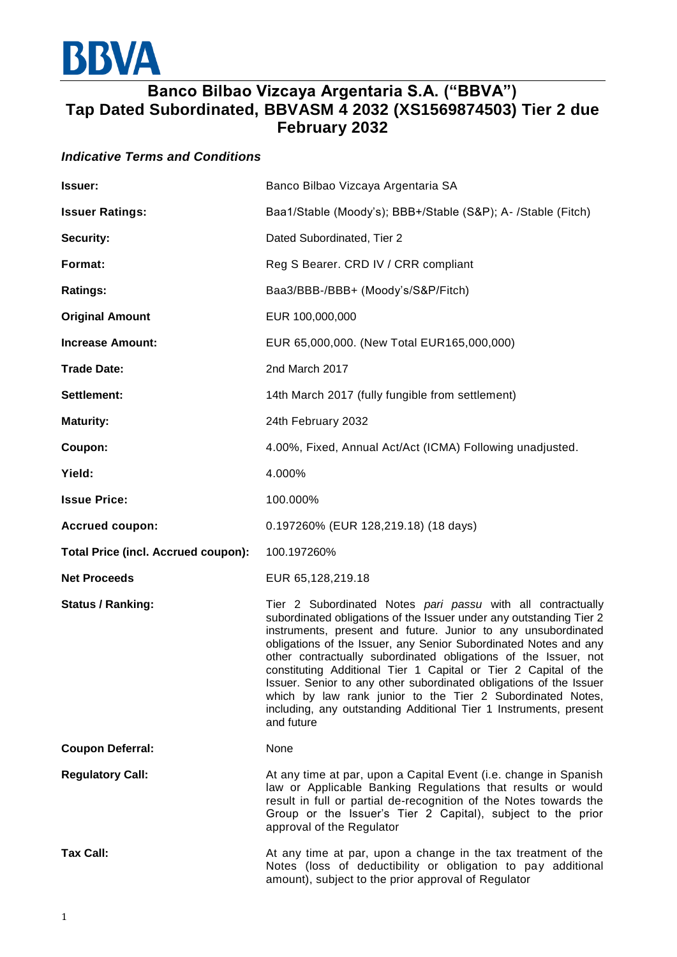

## **Banco Bilbao Vizcaya Argentaria S.A. ("BBVA") Tap Dated Subordinated, BBVASM 4 2032 (XS1569874503) Tier 2 due February 2032**

## *Indicative Terms and Conditions*

| <b>Issuer:</b>                             | Banco Bilbao Vizcaya Argentaria SA                                                                                                                                                                                                                                                                                                                                                                                                                                                                                                                                                                                                   |
|--------------------------------------------|--------------------------------------------------------------------------------------------------------------------------------------------------------------------------------------------------------------------------------------------------------------------------------------------------------------------------------------------------------------------------------------------------------------------------------------------------------------------------------------------------------------------------------------------------------------------------------------------------------------------------------------|
| <b>Issuer Ratings:</b>                     | Baa1/Stable (Moody's); BBB+/Stable (S&P); A- /Stable (Fitch)                                                                                                                                                                                                                                                                                                                                                                                                                                                                                                                                                                         |
| <b>Security:</b>                           | Dated Subordinated, Tier 2                                                                                                                                                                                                                                                                                                                                                                                                                                                                                                                                                                                                           |
| Format:                                    | Reg S Bearer. CRD IV / CRR compliant                                                                                                                                                                                                                                                                                                                                                                                                                                                                                                                                                                                                 |
| <b>Ratings:</b>                            | Baa3/BBB-/BBB+ (Moody's/S&P/Fitch)                                                                                                                                                                                                                                                                                                                                                                                                                                                                                                                                                                                                   |
| <b>Original Amount</b>                     | EUR 100,000,000                                                                                                                                                                                                                                                                                                                                                                                                                                                                                                                                                                                                                      |
| <b>Increase Amount:</b>                    | EUR 65,000,000. (New Total EUR165,000,000)                                                                                                                                                                                                                                                                                                                                                                                                                                                                                                                                                                                           |
| <b>Trade Date:</b>                         | 2nd March 2017                                                                                                                                                                                                                                                                                                                                                                                                                                                                                                                                                                                                                       |
| Settlement:                                | 14th March 2017 (fully fungible from settlement)                                                                                                                                                                                                                                                                                                                                                                                                                                                                                                                                                                                     |
| <b>Maturity:</b>                           | 24th February 2032                                                                                                                                                                                                                                                                                                                                                                                                                                                                                                                                                                                                                   |
| Coupon:                                    | 4.00%, Fixed, Annual Act/Act (ICMA) Following unadjusted.                                                                                                                                                                                                                                                                                                                                                                                                                                                                                                                                                                            |
| Yield:                                     | 4.000%                                                                                                                                                                                                                                                                                                                                                                                                                                                                                                                                                                                                                               |
| <b>Issue Price:</b>                        | 100.000%                                                                                                                                                                                                                                                                                                                                                                                                                                                                                                                                                                                                                             |
| <b>Accrued coupon:</b>                     | 0.197260% (EUR 128,219.18) (18 days)                                                                                                                                                                                                                                                                                                                                                                                                                                                                                                                                                                                                 |
| <b>Total Price (incl. Accrued coupon):</b> | 100.197260%                                                                                                                                                                                                                                                                                                                                                                                                                                                                                                                                                                                                                          |
| <b>Net Proceeds</b>                        | EUR 65,128,219.18                                                                                                                                                                                                                                                                                                                                                                                                                                                                                                                                                                                                                    |
| <b>Status / Ranking:</b>                   | Tier 2 Subordinated Notes pari passu with all contractually<br>subordinated obligations of the Issuer under any outstanding Tier 2<br>instruments, present and future. Junior to any unsubordinated<br>obligations of the Issuer, any Senior Subordinated Notes and any<br>other contractually subordinated obligations of the Issuer, not<br>constituting Additional Tier 1 Capital or Tier 2 Capital of the<br>Issuer. Senior to any other subordinated obligations of the Issuer<br>which by law rank junior to the Tier 2 Subordinated Notes,<br>including, any outstanding Additional Tier 1 Instruments, present<br>and future |
| <b>Coupon Deferral:</b>                    | None                                                                                                                                                                                                                                                                                                                                                                                                                                                                                                                                                                                                                                 |
| <b>Regulatory Call:</b>                    | At any time at par, upon a Capital Event (i.e. change in Spanish<br>law or Applicable Banking Regulations that results or would<br>result in full or partial de-recognition of the Notes towards the<br>Group or the Issuer's Tier 2 Capital), subject to the prior<br>approval of the Regulator                                                                                                                                                                                                                                                                                                                                     |
| <b>Tax Call:</b>                           | At any time at par, upon a change in the tax treatment of the<br>Notes (loss of deductibility or obligation to pay additional<br>amount), subject to the prior approval of Regulator                                                                                                                                                                                                                                                                                                                                                                                                                                                 |